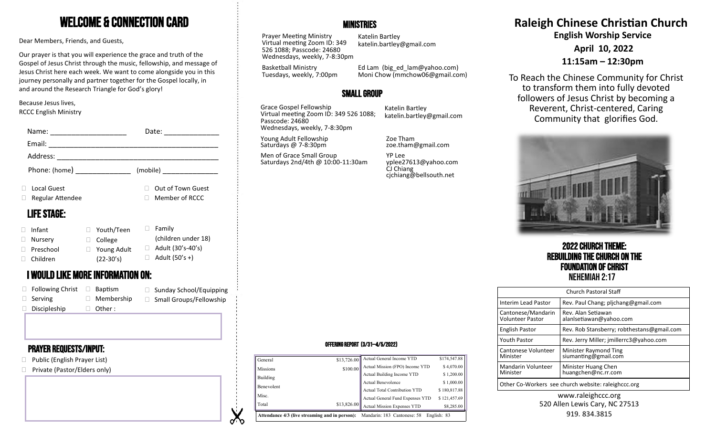# Welcome & Connection Card

Dear Members, Friends, and Guests,

Our prayer is that you will experience the grace and truth of the Gospel of Jesus Christ through the music, fellowship, and message of Jesus Christ here each week. We want to come alongside you in this journey personally and partner together for the Gospel locally, in and around the Research Triangle for God's glory!

#### Because Jesus lives, RCCC English Ministry

| Name:                   |                                   | Date:                                           | Wednesdays, weekly, 7-8:30pm                   |                                                             |                                                     |
|-------------------------|-----------------------------------|-------------------------------------------------|------------------------------------------------|-------------------------------------------------------------|-----------------------------------------------------|
| Email:                  |                                   |                                                 | Young Adult Fellowship<br>Saturdays @ 7-8:30pm | Zoe Tham<br>zoe.tham@gmail.com                              |                                                     |
| Address:                |                                   |                                                 | Men of Grace Small Group                       | YP Lee                                                      |                                                     |
| Phone: (home)           |                                   | (mobile)                                        | Saturdays 2nd/4th @ 10:00-11:30am              | yplee27613@yahoo.com<br>CJ Chiang<br>cjchiang@bellsouth.net |                                                     |
| Local Guest             |                                   | Out of Town Guest                               |                                                |                                                             |                                                     |
| Regular Attendee        |                                   | Member of RCCC                                  |                                                |                                                             |                                                     |
| <b>LIFE STAGE:</b>      |                                   |                                                 |                                                |                                                             |                                                     |
| Infant                  | Youth/Teen                        | $\Box$ Family                                   |                                                |                                                             |                                                     |
| Nursery                 | $\Box$ College                    | (children under 18)<br>$\Box$ Adult (30's-40's) |                                                |                                                             | <b>2022 CHURCH THE</b>                              |
| Preschool<br>Children   | □ Young Adult                     | $\Box$ Adult (50's +)                           |                                                |                                                             | <b>REBUILDING THE CHURC</b>                         |
|                         | $(22-30's)$                       |                                                 |                                                |                                                             | <b>FOUNDATION OF CH</b>                             |
|                         | I WOULD LIKE MORE INFORMATION ON: |                                                 |                                                |                                                             | <b>NEHEMIAH 2:17</b>                                |
| $\Box$ Following Christ | $\Box$ Baptism                    | $\Box$ Sunday School/Equipping                  |                                                |                                                             | Church Pastoral Sta                                 |
| Serving                 | $\Box$ Membership                 | □ Small Groups/Fellowship                       |                                                |                                                             | Rev. Paul Chang; pljc<br><b>Interim Lead Pastor</b> |
| Discipleship            | Other :                           |                                                 |                                                |                                                             |                                                     |

# Prayer requests/Input:

- □ Public (English Prayer List)
- □ Private (Pastor/Elders only)

# **MINISTRIES**

Prayer Meeting Ministry Virtual meeting Zoom ID: 349 526 1088; Passcode: 24680 Wednesdays, weekly, 7-8:30pm

Basketball Ministry

Katelin Bartley katelin.bartley@gmail.com

Tuesdays, weekly, 7:00pm Ed Lam (big\_ed\_lam@yahoo.com) Moni Chow (mmchow06@gmail.com)

# Small Group

Grace Gospel Fellowship Virtual meeting Zoom ID: 349 526 1088; Passcode: 24680 Wednesdays, weekly, 7-8:30pm

Katelin Bartley katelin.bartley@gmail.com

# **Raleigh Chinese Christian Church**

**English Worship Service**

**April 10, 2022**

# **11:15am – 12:30pm**

To Reach the Chinese Community for Christ to transform them into fully devoted followers of Jesus Christ by becoming a Reverent, Christ-centered, Caring Community that glorifies God.



# 2022 Church Theme: Rebuilding the Church on the **Foundation of Christ**<br>Nehemiah 2:17

| <b>Church Pastoral Staff</b>                        |                                               |  |  |  |  |
|-----------------------------------------------------|-----------------------------------------------|--|--|--|--|
| Interim Lead Pastor                                 | Rev. Paul Chang; pljchang@gmail.com           |  |  |  |  |
| Cantonese/Mandarin<br>Volunteer Pastor              | Rev. Alan Setiawan<br>alanlsetiawan@yahoo.com |  |  |  |  |
| <b>English Pastor</b>                               | Rev. Rob Stansberry; robthestans@gmail.com    |  |  |  |  |
| <b>Youth Pastor</b>                                 | Rev. Jerry Miller; imillerrc3@yahoo.com       |  |  |  |  |
| Cantonese Volunteer<br>Minister                     | Minister Raymond Ting<br>siumanting@gmail.com |  |  |  |  |
| Mandarin Volunteer<br>Minister                      | Minister Huang Chen<br>huangchen@nc.rr.com    |  |  |  |  |
| Other Co-Workers see church website: raleighccc.org |                                               |  |  |  |  |

#### www.raleighccc.org 520 Allen Lewis Cary, NC 27513 919.834.3815

#### Offering Report (3/31—4/5/2022)

| Attendance 4/3 (live streaming and in person):<br>Mandarin: 183 Cantonese: 58<br>English: 83 |             |                                      |              |  |
|----------------------------------------------------------------------------------------------|-------------|--------------------------------------|--------------|--|
| Total                                                                                        | \$13,826.00 | Actual Mission Expenses YTD          | \$8,285.00   |  |
| Misc.                                                                                        |             | Actual General Fund Expenses YTD     | \$121,457.69 |  |
|                                                                                              |             | <b>Actual Total Contribution YTD</b> | \$180,817.88 |  |
| Benevolent                                                                                   |             | <b>Actual Benevolence</b>            | \$1,000.00   |  |
| Building                                                                                     |             | Actual Building Income YTD           | \$1,200.00   |  |
| <b>Missions</b>                                                                              | \$100.00    | Actual Mission (FPO) Income YTD      | \$4,070.00   |  |
| General                                                                                      | \$13,726.00 | Actual General Income YTD            | \$174,547.88 |  |